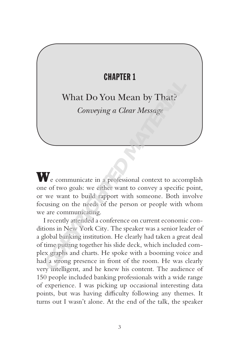# CHAPTER 1

# What Do You Mean by That?

*Conveying a Clear Message* 

**W**e communicate in a professional context to accomplish one of two goals: we either want to convey a specific point, or we want to build rapport with someone. Both involve focusing on the needs of the person or people with whom we are communicating.

I recently attended a conference on current economic conditions in New York City. The speaker was a senior leader of a global banking institution. He clearly had taken a great deal of time putting together his slide deck, which included complex graphs and charts. He spoke with a booming voice and had a strong presence in front of the room. He was clearly very intelligent, and he knew his content. The audience of 150 people included banking professionals with a wide range of experience. I was picking up occasional interesting data points, but was having difficulty following any themes. It turns out I wasn't alone. At the end of the talk, the speaker **Example 18 In the CONDUMEATER CONVERT CONVERT CONVEYING A CLEAT MESSAGE CONVEYING A CLEAT MESSAGE CONDUCT CONDUCT CONDUCT CONDUCT CONDUCT CONDUCT CONDUCT CONDUCT CONDUCT CONDUCT CONDUCT CONDUCT CONDUCT CONDUCT CONDUCT CON**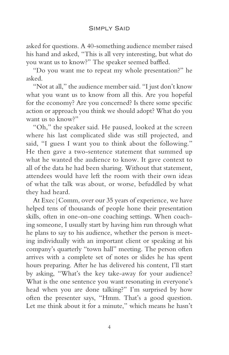asked for questions. A 40-something audience member raised his hand and asked, "This is all very interesting, but what do you want us to know?" The speaker seemed baffled.

"Do you want me to repeat my whole presentation?" he asked.

"Not at all," the audience member said. "I just don't know what you want us to know from all this. Are you hopeful for the economy? Are you concerned? Is there some specific action or approach you think we should adopt? What do you want us to know?"

"Oh," the speaker said. He paused, looked at the screen where his last complicated slide was still projected, and said, "I guess I want you to think about the following." He then gave a two-sentence statement that summed up what he wanted the audience to know. It gave context to all of the data he had been sharing. Without that statement, attendees would have left the room with their own ideas of what the talk was about, or worse, befuddled by what they had heard.

At Exec|Comm, over our 35 years of experience, we have helped tens of thousands of people hone their presentation skills, often in one-on-one coaching settings. When coaching someone, I usually start by having him run through what he plans to say to his audience, whether the person is meeting individually with an important client or speaking at his company's quarterly "town hall" meeting. The person often arrives with a complete set of notes or slides he has spent hours preparing. After he has delivered his content, I'll start by asking, "What's the key take-away for your audience? What is the one sentence you want resonating in everyone's head when you are done talking?" I'm surprised by how often the presenter says, "Hmm. That's a good question. Let me think about it for a minute," which means he hasn't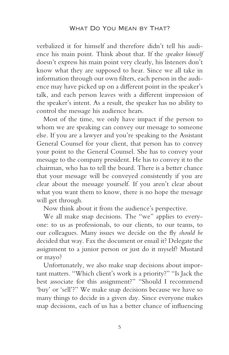verbalized it for himself and therefore didn't tell his audience his main point. Think about that. If the *speaker himself* doesn't express his main point very clearly, his listeners don't know what they are supposed to hear. Since we all take in information through our own filters, each person in the audience may have picked up on a different point in the speaker's talk, and each person leaves with a different impression of the speaker's intent. As a result, the speaker has no ability to control the message his audience hears.

Most of the time, we only have impact if the person to whom we are speaking can convey our message to someone else. If you are a lawyer and you're speaking to the Assistant General Counsel for your client, that person has to convey your point to the General Counsel. She has to convey your message to the company president. He has to convey it to the chairman, who has to tell the board. There is a better chance that your message will be conveyed consistently if you are clear about the message yourself. If you aren't clear about what you want them to know, there is no hope the message will get through.

Now think about it from the audience's perspective.

We all make snap decisions. The "we" applies to everyone: to us as professionals, to our clients, to our teams, to our colleagues. Many issues we decide on the fly *should be* decided that way. Fax the document or email it? Delegate the assignment to a junior person or just do it myself? Mustard or mayo?

Unfortunately, we also make snap decisions about important matters. "Which client's work is a priority?" "Is Jack the best associate for this assignment?" "Should I recommend 'buy' or 'sell'?" We make snap decisions because we have so many things to decide in a given day. Since everyone makes snap decisions, each of us has a better chance of influencing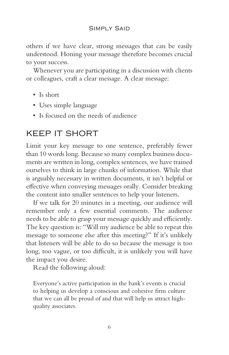others if we have clear, strong messages that can be easily understood. Honing your message therefore becomes crucial to your success.

Whenever you are participating in a discussion with clients or colleagues, craft a clear message. A clear message:

- ∙ Is short
- ∙ Uses simple language
- ∙ Is focused on the needs of audience

## KEEP IT SHORT

Limit your key message to one sentence, preferably fewer than 10 words long. Because so many complex business documents are written in long, complex sentences, we have trained ourselves to think in large chunks of information. While that is arguably necessary in written documents, it isn't helpful or effective when conveying messages orally. Consider breaking the content into smaller sentences to help your listeners.

If we talk for 20 minutes in a meeting, our audience will remember only a few essential comments. The audience needs to be able to grasp your message quickly and efficiently. The key question is: "Will my audience be able to repeat this message to someone else after this meeting?" If it's unlikely that listeners will be able to do so because the message is too long, too vague, or too difficult, it is unlikely you will have the impact you desire.

Read the following aloud:

Everyone's active participation in the bank's events is crucial to helping us develop a conscious and cohesive firm culture that we can all be proud of and that will help us attract highquality associates.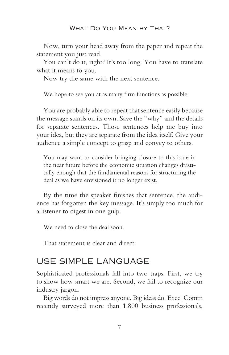#### WHAT DO YOU MEAN BY THAT?

Now, turn your head away from the paper and repeat the statement you just read.

You can't do it, right? It's too long. You have to translate what it means to you.

Now try the same with the next sentence:

We hope to see you at as many firm functions as possible.

You are probably able to repeat that sentence easily because the message stands on its own. Save the "why" and the details for separate sentences. Those sentences help me buy into your idea, but they are separate from the idea itself. Give your audience a simple concept to grasp and convey to others.

You may want to consider bringing closure to this issue in the near future before the economic situation changes drastically enough that the fundamental reasons for structuring the deal as we have envisioned it no longer exist.

By the time the speaker finishes that sentence, the audience has forgotten the key message. It's simply too much for a listener to digest in one gulp.

We need to close the deal soon.

That statement is clear and direct.

### USE SIMPLE LANGUAGE

Sophisticated professionals fall into two traps. First, we try to show how smart we are. Second, we fail to recognize our industry jargon.

Big words do not impress anyone. Big ideas do. Exec|Comm recently surveyed more than 1,800 business professionals,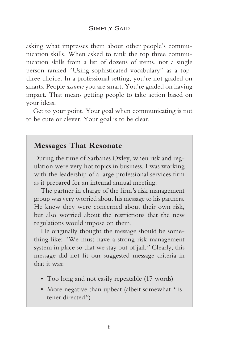asking what impresses them about other people's communication skills. When asked to rank the top three communication skills from a list of dozens of items, not a single person ranked "Using sophisticated vocabulary" as a topthree choice. In a professional setting, you're not graded on smarts. People *assume* you are smart. You're graded on having impact. That means getting people to take action based on your ideas.

Get to your point. Your goal when communicating is not to be cute or clever. Your goal is to be clear.

### **Messages That Resonate**

During the time of Sarbanes Oxley, when risk and regulation were very hot topics in business, I was working with the leadership of a large professional services firm as it prepared for an internal annual meeting.

The partner in charge of the firm's risk management group was very worried about his message to his partners. He knew they were concerned about their own risk, but also worried about the restrictions that the new regulations would impose on them.

He originally thought the message should be something like: "We must have a strong risk management system in place so that we stay out of jail.*"* Clearly, this message did not fit our suggested message criteria in that it was:

- ∙ Too long and not easily repeatable (17 words)
- ∙ More negative than upbeat (albeit somewhat *"*listener directed*"*)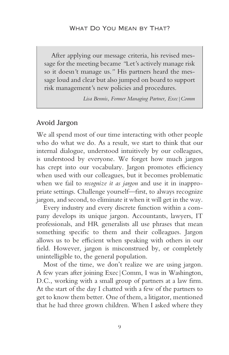After applying our message criteria, his revised message for the meeting became *"*Let*'*s actively manage risk so it doesn*'*t manage us. *"* His partners heard the message loud and clear but also jumped on board to support risk management *'*s new policies and procedures.

*Lisa Bennis, Former Managing Partner, Exec|Comm* 

### Avoid Jargon

We all spend most of our time interacting with other people who do what we do. As a result, we start to think that our internal dialogue, understood intuitively by our colleagues, is understood by everyone. We forget how much jargon has crept into our vocabulary. Jargon promotes efficiency when used with our colleagues, but it becomes problematic when we fail to *recognize it as jargon* and use it in inappropriate settings. Challenge yourself—first, to always recognize jargon, and second, to eliminate it when it will get in the way.

Every industry and every discrete function within a company develops its unique jargon. Accountants, lawyers, IT professionals, and HR generalists all use phrases that mean something specific to them and their colleagues. Jargon allows us to be efficient when speaking with others in our field. However, jargon is misconstrued by, or completely unintelligible to, the general population.

Most of the time, we don't realize we are using jargon. A few years after joining Exec|Comm, I was in Washington, D.C., working with a small group of partners at a law firm. At the start of the day I chatted with a few of the partners to get to know them better. One of them, a litigator, mentioned that he had three grown children. When I asked where they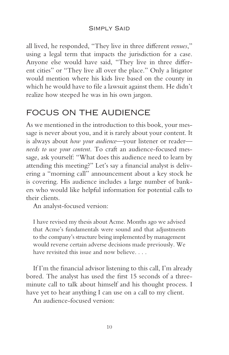all lived, he responded, "They live in three different *venues*," using a legal term that impacts the jurisdiction for a case. Anyone else would have said, "They live in three different cities" or "They live all over the place." Only a litigator would mention where his kids live based on the county in which he would have to file a lawsuit against them. He didn't realize how steeped he was in his own jargon.

## FOCUS ON THE AUDIENCE

As we mentioned in the introduction to this book, your message is never about you, and it is rarely about your content. It is always about *how your audience*—your listener or reader *needs to use your content.* To craft an audience-focused message, ask yourself: "What does this audience need to learn by attending this meeting?" Let's say a financial analyst is delivering a "morning call" announcement about a key stock he is covering. His audience includes a large number of bankers who would like helpful information for potential calls to their clients.

An analyst-focused version:

I have revised my thesis about Acme. Months ago we advised that Acme's fundamentals were sound and that adjustments to the company's structure being implemented by management would reverse certain adverse decisions made previously. We have revisited this issue and now believe. . . .

If I'm the financial advisor listening to this call, I'm already bored. The analyst has used the first 15 seconds of a threeminute call to talk about himself and his thought process. I have yet to hear anything I can use on a call to my client.

An audience-focused version: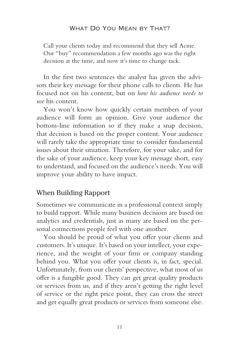#### WHAT DO YOU MEAN BY THAT?

Call your clients today and recommend that they sell Acme. Our "buy" recommendation a few months ago was the right decision at the time, and now it's time to change tack.

In the first two sentences the analyst has given the advisors their key message for their phone calls to clients. He has focused not on his content, but on *how his audience needs to use* his content.

You won't know how quickly certain members of your audience will form an opinion. Give your audience the bottom-line information so if they make a snap decision, that decision is based on the proper content. Your audience will rarely take the appropriate time to consider fundamental issues about their situation. Therefore, for your sake, and for the sake of your audience, keep your key message short, easy to understand, and focused on the audience's needs. You will improve your ability to have impact.

#### When Building Rapport

Sometimes we communicate in a professional context simply to build rapport. While many business decisions are based on analytics and credentials, just as many are based on the personal connections people feel with one another.

You should be proud of what you offer your clients and customers. It's unique. It's based on your intellect, your experience, and the weight of your firm or company standing behind you. What you offer your clients is, in fact, special. Unfortunately, from our clients' perspective, what most of us offer is a fungible good. They can get great quality products or services from us, and if they aren't getting the right level of service or the right price point, they can cross the street and get equally great products or services from someone else.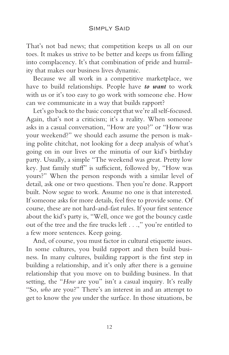That's not bad news; that competition keeps us all on our toes. It makes us strive to be better and keeps us from falling into complacency. It's that combination of pride and humility that makes our business lives dynamic.

Because we all work in a competitive marketplace, we have to build relationships. People have *to want* to work with us or it's too easy to go work with someone else. How can we communicate in a way that builds rapport?

Let's go back to the basic concept that we're all self-focused. Again, that's not a criticism; it's a reality. When someone asks in a casual conversation, "How are you?" or "How was your weekend?" we should each assume the person is making polite chitchat, not looking for a deep analysis of what's going on in our lives or the minutia of our kid's birthday party. Usually, a simple "The weekend was great. Pretty low key. Just family stuff" is sufficient, followed by, "How was yours?" When the person responds with a similar level of detail, ask one or two questions. Then you're done. Rapport built. Now segue to work. Assume no one is that interested. If someone asks for more details, feel free to provide some. Of course, these are not hard-and-fast rules. If your first sentence about the kid's party is, "Well, once we got the bouncy castle out of the tree and the fire trucks left . . .," you're entitled to a few more sentences. Keep going.

And, of course, you must factor in cultural etiquette issues. In some cultures, you build rapport and then build business. In many cultures, building rapport is the first step in building a relationship, and it's only after there is a genuine relationship that you move on to building business. In that setting, the "*How* are you" isn't a casual inquiry. It's really "So, *who* are you?" There's an interest in and an attempt to get to know the *you* under the surface. In those situations, be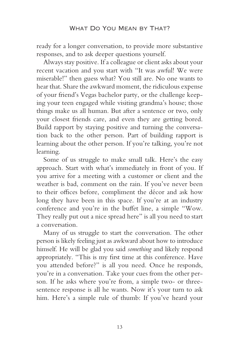ready for a longer conversation, to provide more substantive responses, and to ask deeper questions yourself.

Always stay positive. If a colleague or client asks about your recent vacation and you start with "It was awful! We were miserable!" then guess what? You still are. No one wants to hear that. Share the awkward moment, the ridiculous expense of your friend's Vegas bachelor party, or the challenge keeping your teen engaged while visiting grandma's house; those things make us all human. But after a sentence or two, only your closest friends care, and even they are getting bored. Build rapport by staying positive and turning the conversation back to the other person. Part of building rapport is learning about the other person. If you're talking, you're not learning.

Some of us struggle to make small talk. Here's the easy approach. Start with what's immediately in front of you. If you arrive for a meeting with a customer or client and the weather is bad, comment on the rain. If you've never been to their offices before, compliment the décor and ask how long they have been in this space. If you're at an industry conference and you're in the buffet line, a simple "Wow. They really put out a nice spread here" is all you need to start a conversation.

Many of us struggle to start the conversation. The other person is likely feeling just as awkward about how to introduce himself. He will be glad you said *something* and likely respond appropriately. "This is my first time at this conference. Have you attended before?" is all you need. Once he responds, you're in a conversation. Take your cues from the other person. If he asks where you're from, a simple two- or threesentence response is all he wants. Now it's your turn to ask him. Here's a simple rule of thumb: If you've heard your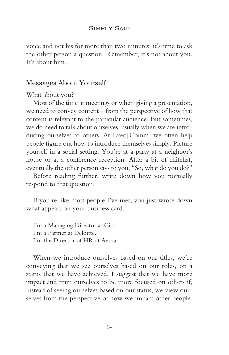voice and not his for more than two minutes, it's time to ask the other person a question. Remember, it's not about you. It's about him.

#### Messages About Yourself

What about you?

Most of the time at meetings or when giving a presentation, we need to convey content—from the perspective of how that content is relevant to the particular audience. But sometimes, we do need to talk about ourselves, usually when we are introducing ourselves to others. At Exec | Comm, we often help people figure out how to introduce themselves simply. Picture yourself in a social setting. You're at a party at a neighbor's house or at a conference reception. After a bit of chitchat, eventually the other person says to you, "So, what do you do?"

Before reading further, write down how you normally respond to that question.

If you're like most people I've met, you just wrote down what appears on your business card.

I'm a Managing Director at Citi. I'm a Partner at Deloitte. I'm the Director of HR at Aetna.

When we introduce ourselves based on our titles, we're conveying that we see ourselves based on our roles, on a status that we have achieved. I suggest that we have more impact and train ourselves to be more focused on others if, instead of seeing ourselves based on our status, we view ourselves from the perspective of how we impact other people.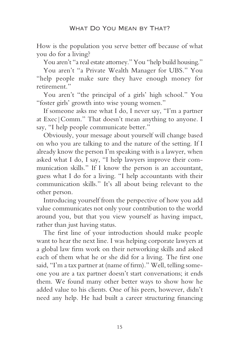How is the population you serve better off because of what you do for a living?

You aren't "a real estate attorney." You "help build housing."

You aren't "a Private Wealth Manager for UBS." You "help people make sure they have enough money for retirement."

You aren't "the principal of a girls' high school." You "foster girls' growth into wise young women."

If someone asks me what I do, I never say, "I'm a partner at Exec|Comm." That doesn't mean anything to anyone. I say, "I help people communicate better."

Obviously, your message about yourself will change based on who you are talking to and the nature of the setting. If I already know the person I'm speaking with is a lawyer, when asked what I do, I say, "I help lawyers improve their communication skills." If I know the person is an accountant, guess what I do for a living. "I help accountants with their communication skills." It's all about being relevant to the other person.

Introducing yourself from the perspective of how you add value communicates not only your contribution to the world around you, but that you view yourself as having impact, rather than just having status.

The first line of your introduction should make people want to hear the next line. I was helping corporate lawyers at a global law firm work on their networking skills and asked each of them what he or she did for a living. The first one said, "I'm a tax partner at (name of firm)." Well, telling someone you are a tax partner doesn't start conversations; it ends them. We found many other better ways to show how he added value to his clients. One of his peers, however, didn't need any help. He had built a career structuring financing